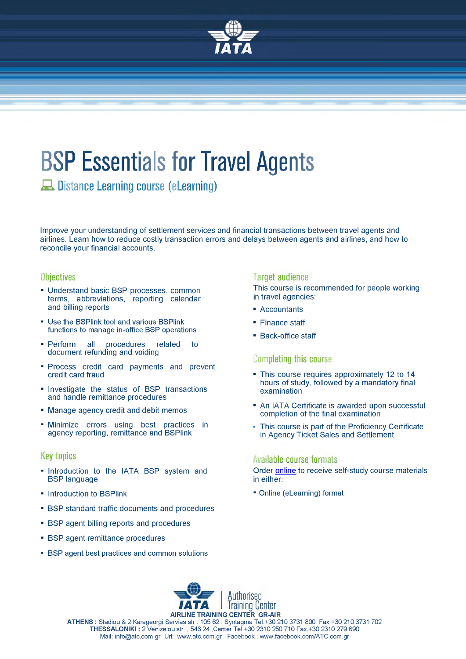

# **BSP Essentials for Travel Agents**

Λ Distance Learning course (eLearning)

Improve your understanding of settlement services and financial transactions between travel agents and airlines. Learn how to reduce costly transaction errors and delays between agents and airlines, and how to reconcile your financial accounts.

### **Objectives**

- Understand basic BSP processes, common terms, abbreviations, reporting calendar and billing reports
- Use the BSPlink tool and various BSPlink functions to manage in-office BSP operations
- Perform all procedures related to document refunding and voiding
- Process credit card payments and prevent credit card fraud
- Investigate the status of BSP transactions and handle remittance procedures
- Manage agency credit and debit memos
- Minimize errors using best practices in agency reporting, remittance and BSPlink

### **Key topics**

- Introduction to the IATA BSP system and BSP language
- Introduction to BSPlink
- BSP standard traffic documents and procedures
- BSP agent billing reports and procedures
- BSP agent remittance procedures
- BSP agent best practices and common solutions

### **Target audience**

This course is recommended for people working n travel agencies:

- Accountants
- Finance staff
- Back-office staff

### **Completing this course**

- This course requires approximately 12 to 14 hours of study, followed by a mandatory final examination
- An IATA Certificate is awarded upon successful completion of the final examination
- This course is part of the Proficiency Certificate in Agency Ticket Sales and Settlement

### **Available course formats**

Order [online t](http://atc.com.gr/en/line-registration)o receive self-study course materials in either:

■ Online (eLearning) format



**ATHENS :** Stadiou & 2 Karageorgi Servias str . 105 62 , Syntagma Tel.+30 210 3731 800 Fax.+30 210 3731 702 **THESSALONIKI :** 2 Venizelou str , 546 24 ,Center Tel.+30 2310 250 710 Fax.+30 2310 279 690 Mail: [info@atc.com.gr](mailto:info@atc.com.gr) Url: [www.atc.com.gr](http://www.atc.com.gr) Facebook : [www.facebook.com/ATC.com.gr](http://www.facebook.com/ATC.com.gr)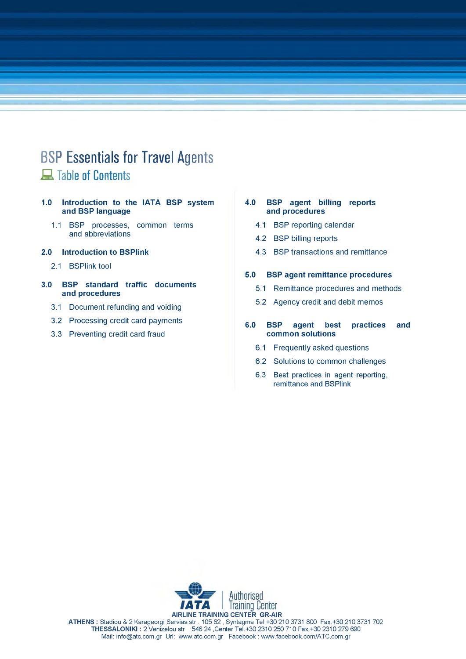## **BSP Essentials for Travel Agents** A Table of Contents

- **1.0 Introduction to the IATA BSP system and BSP language**
	- 1.1 BSP processes, common terms and abbreviations
- **2.0 Introduction to BSPlink**
	- 2.1 BSPlink tool
- **3.0 BSP standard traffic documents and procedures**
	- 3.1 Document refunding and voiding
	- 3.2 Processing credit card payments
	- 3.3 Preventing credit card fraud

### **4.0 BSP agent billing reports and procedures**

- 4.1 BSP reporting calendar
- 4.2 BSP billing reports
- 4.3 BSP transactions and remittance

### **5.0 BSP agent remittance procedures**

- 5.1 Remittance procedures and methods
- 5.2 Agency credit and debit memos

### **6.0 BSP agent best practices and common solutions**

- 6.1 Frequently asked questions
- 6.2 Solutions to common challenges
- 6.3 Best practices in agent reporting, remittance and BSPlink



**ATHENS :** Stadiou & 2 Karageorgi Servias str . 105 62 , Syntagma Tel.+30 210 3731 800 Fax.+30 210 3731 702 **THESSALONIKI :** 2 Venizelou str , 546 24 ,Center Tel.+30 2310 250 710 Fax.+30 2310 279 690 Mail: [info@atc.com.gr](mailto:info@atc.com.gr) Url: [www.atc.com.gr](http://www.atc.com.gr) Facebook : [www.facebook.com/ATC.com.gr](http://www.facebook.com/ATC.com.gr)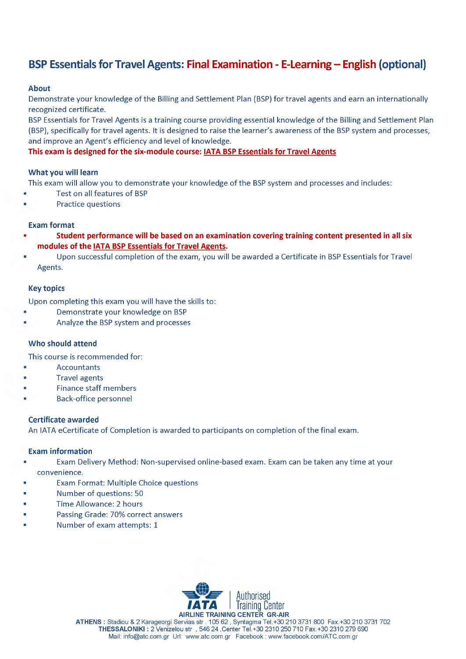### **BSP Essentials for Travel Agents: Final Examination - E-Learning – English (optional)**

### **About**

Demonstrate your knowledge of the Billing and Settlement Plan (BSP) for travel agents and earn an internationally recognized certificate.

BSP Essentials for Travel Agents is a training course providing essential knowledge of the Billing and Settlement Plan (BSP), specifically for travel agents. It is designed to raise the learner's awareness of the BSP system and processes, and improve an Agent's efficiency and level of knowledge.

### **This exam is designed for the six-module course: IATA BSP Essentials for Travel Agents**

### **What you will learn**

This exam will allow you to demonstrate your knowledge of the BSP system and processes and includes:

- Test on all features of BSP
- Practice questions

### **Exam format**

- **1 Student performance will be based on an examination covering training content presented in all six modules of the IATA BSP Essentials for Travel Agents.**
- Upon successful completion of the exam, you will be awarded a Certificate in BSP Essentials for Travel Agents.

### **Key topics**

Upon completing this exam you will have the skills to:

- 1 Demonstrate your knowledge on BSP
- 1 Analyze the BSP system and processes

### **Who should attend**

This course is recommended for:

- **Accountants**
- **Travel agents**
- Finance staff members
- Back-office personnel

### **Certificate awarded**

An IATA eCertificate of Completion is awarded to participants on completion of the final exam.

### **Exam information**

- Exam Delivery Method: Non-supervised online-based exam. Exam can be taken any time at your convenience.
- Exam Format: Multiple Choice questions ł.
- Number of questions: 50
- Time Allowance: 2 hours
- Passing Grade: 70% correct answers
- Number of exam attempts: 1



**ATHENS :** Stadiou & 2 Karageorgi Servias str . 105 62 , Syntagma Tel.+30 210 3731 800 Fax.+30 210 3731 702 **THESSALONIKI :** 2 Venizelou str , 546 24 ,Center Tel.+30 2310 250 710 Fax.+30 2310 279 690 Mail: [info@atc.com.gr](mailto:info@atc.com.gr) Url: [www.atc.com.gr](http://www.atc.com.gr) Facebook : [www.facebook.com/ATC.com.gr](http://www.facebook.com/ATC.com.gr)